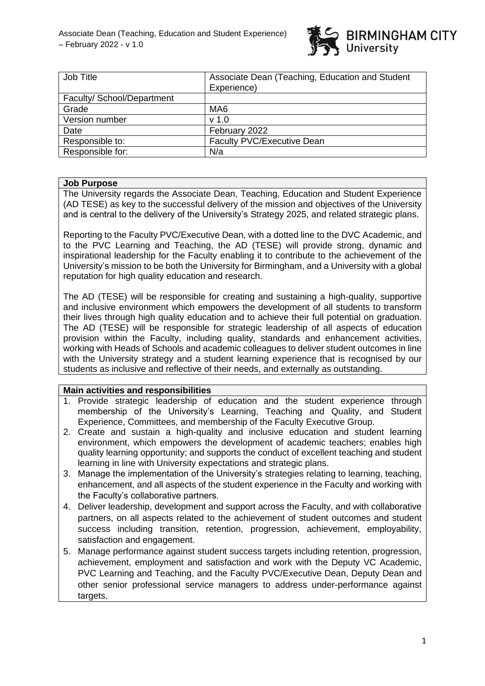

| Job Title                  | Associate Dean (Teaching, Education and Student<br>Experience) |
|----------------------------|----------------------------------------------------------------|
| Faculty/ School/Department |                                                                |
| Grade                      | MA <sub>6</sub>                                                |
| Version number             | v <sub>1.0</sub>                                               |
| Date                       | February 2022                                                  |
| Responsible to:            | <b>Faculty PVC/Executive Dean</b>                              |
| Responsible for:           | N/a                                                            |

#### **Job Purpose**

The University regards the Associate Dean, Teaching, Education and Student Experience (AD TESE) as key to the successful delivery of the mission and objectives of the University and is central to the delivery of the University's Strategy 2025, and related strategic plans.

Reporting to the Faculty PVC/Executive Dean, with a dotted line to the DVC Academic, and to the PVC Learning and Teaching, the AD (TESE) will provide strong, dynamic and inspirational leadership for the Faculty enabling it to contribute to the achievement of the University's mission to be both the University for Birmingham, and a University with a global reputation for high quality education and research.

The AD (TESE) will be responsible for creating and sustaining a high-quality, supportive and inclusive environment which empowers the development of all students to transform their lives through high quality education and to achieve their full potential on graduation. The AD (TESE) will be responsible for strategic leadership of all aspects of education provision within the Faculty, including quality, standards and enhancement activities, working with Heads of Schools and academic colleagues to deliver student outcomes in line with the University strategy and a student learning experience that is recognised by our students as inclusive and reflective of their needs, and externally as outstanding.

# **Main activities and responsibilities**

- 1. Provide strategic leadership of education and the student experience through membership of the University's Learning, Teaching and Quality, and Student Experience, Committees, and membership of the Faculty Executive Group.
- 2. Create and sustain a high-quality and inclusive education and student learning environment, which empowers the development of academic teachers; enables high quality learning opportunity; and supports the conduct of excellent teaching and student learning in line with University expectations and strategic plans.
- 3. Manage the implementation of the University's strategies relating to learning, teaching, enhancement, and all aspects of the student experience in the Faculty and working with the Faculty's collaborative partners.
- 4. Deliver leadership, development and support across the Faculty, and with collaborative partners, on all aspects related to the achievement of student outcomes and student success including transition, retention, progression, achievement, emplovability. satisfaction and engagement.
- 5. Manage performance against student success targets including retention, progression, achievement, employment and satisfaction and work with the Deputy VC Academic, PVC Learning and Teaching, and the Faculty PVC/Executive Dean, Deputy Dean and other senior professional service managers to address under-performance against targets.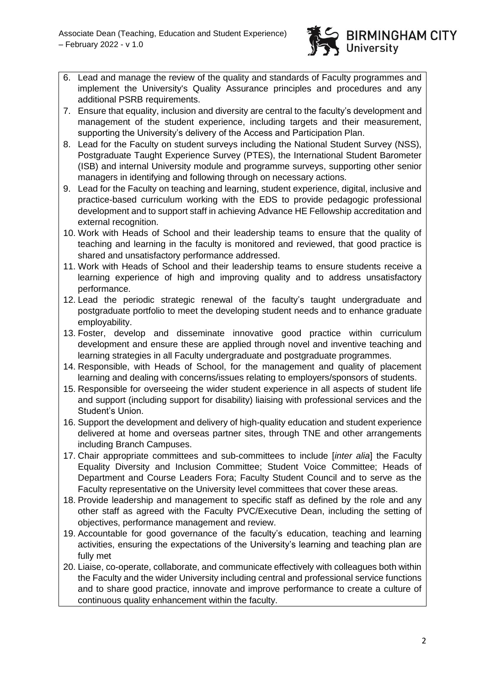

- 6. Lead and manage the review of the quality and standards of Faculty programmes and implement the University's Quality Assurance principles and procedures and any additional PSRB requirements.
- 7. Ensure that equality, inclusion and diversity are central to the faculty's development and management of the student experience, including targets and their measurement, supporting the University's delivery of the Access and Participation Plan.
- 8. Lead for the Faculty on student surveys including the National Student Survey (NSS), Postgraduate Taught Experience Survey (PTES), the International Student Barometer (ISB) and internal University module and programme surveys, supporting other senior managers in identifying and following through on necessary actions.
- 9. Lead for the Faculty on teaching and learning, student experience, digital, inclusive and practice-based curriculum working with the EDS to provide pedagogic professional development and to support staff in achieving Advance HE Fellowship accreditation and external recognition.
- 10. Work with Heads of School and their leadership teams to ensure that the quality of teaching and learning in the faculty is monitored and reviewed, that good practice is shared and unsatisfactory performance addressed.
- 11. Work with Heads of School and their leadership teams to ensure students receive a learning experience of high and improving quality and to address unsatisfactory performance.
- 12. Lead the periodic strategic renewal of the faculty's taught undergraduate and postgraduate portfolio to meet the developing student needs and to enhance graduate employability.
- 13. Foster, develop and disseminate innovative good practice within curriculum development and ensure these are applied through novel and inventive teaching and learning strategies in all Faculty undergraduate and postgraduate programmes.
- 14. Responsible, with Heads of School, for the management and quality of placement learning and dealing with concerns/issues relating to employers/sponsors of students.
- 15. Responsible for overseeing the wider student experience in all aspects of student life and support (including support for disability) liaising with professional services and the Student's Union.
- 16. Support the development and delivery of high-quality education and student experience delivered at home and overseas partner sites, through TNE and other arrangements including Branch Campuses.
- 17. Chair appropriate committees and sub-committees to include [*inter alia*] the Faculty Equality Diversity and Inclusion Committee; Student Voice Committee; Heads of Department and Course Leaders Fora; Faculty Student Council and to serve as the Faculty representative on the University level committees that cover these areas.
- 18. Provide leadership and management to specific staff as defined by the role and any other staff as agreed with the Faculty PVC/Executive Dean, including the setting of objectives, performance management and review.
- 19. Accountable for good governance of the faculty's education, teaching and learning activities, ensuring the expectations of the University's learning and teaching plan are fully met
- 20. Liaise, co-operate, collaborate, and communicate effectively with colleagues both within the Faculty and the wider University including central and professional service functions and to share good practice, innovate and improve performance to create a culture of continuous quality enhancement within the faculty.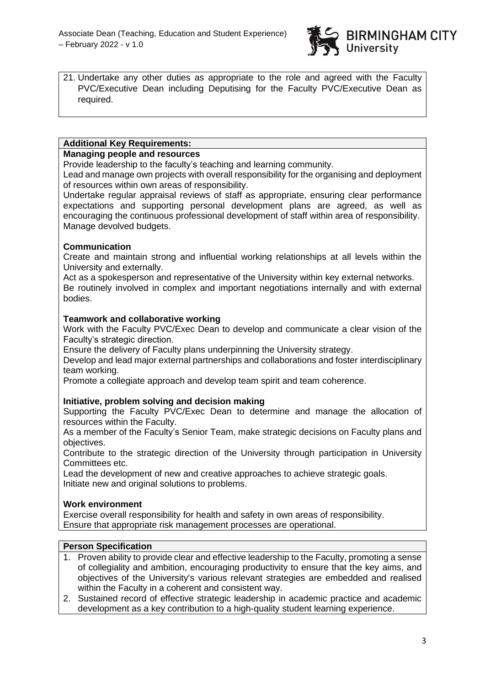

21. Undertake any other duties as appropriate to the role and agreed with the Faculty PVC/Executive Dean including Deputising for the Faculty PVC/Executive Dean as required.

# **Additional Key Requirements:**

# **Managing people and resources**

Provide leadership to the faculty's teaching and learning community.

Lead and manage own projects with overall responsibility for the organising and deployment of resources within own areas of responsibility.

Undertake regular appraisal reviews of staff as appropriate, ensuring clear performance expectations and supporting personal development plans are agreed, as well as encouraging the continuous professional development of staff within area of responsibility. Manage devolved budgets.

# **Communication**

Create and maintain strong and influential working relationships at all levels within the University and externally.

Act as a spokesperson and representative of the University within key external networks. Be routinely involved in complex and important negotiations internally and with external bodies.

# **Teamwork and collaborative working**

Work with the Faculty PVC/Exec Dean to develop and communicate a clear vision of the Faculty's strategic direction.

Ensure the delivery of Faculty plans underpinning the University strategy.

Develop and lead major external partnerships and collaborations and foster interdisciplinary team working.

Promote a collegiate approach and develop team spirit and team coherence.

# **Initiative, problem solving and decision making**

Supporting the Faculty PVC/Exec Dean to determine and manage the allocation of resources within the Faculty.

As a member of the Faculty's Senior Team, make strategic decisions on Faculty plans and objectives.

Contribute to the strategic direction of the University through participation in University Committees etc.

Lead the development of new and creative approaches to achieve strategic goals. Initiate new and original solutions to problems.

# **Work environment**

Exercise overall responsibility for health and safety in own areas of responsibility. Ensure that appropriate risk management processes are operational.

# **Person Specification**

- 1. Proven ability to provide clear and effective leadership to the Faculty, promoting a sense of collegiality and ambition, encouraging productivity to ensure that the key aims, and objectives of the University's various relevant strategies are embedded and realised within the Faculty in a coherent and consistent way.
- 2. Sustained record of effective strategic leadership in academic practice and academic development as a key contribution to a high-quality student learning experience.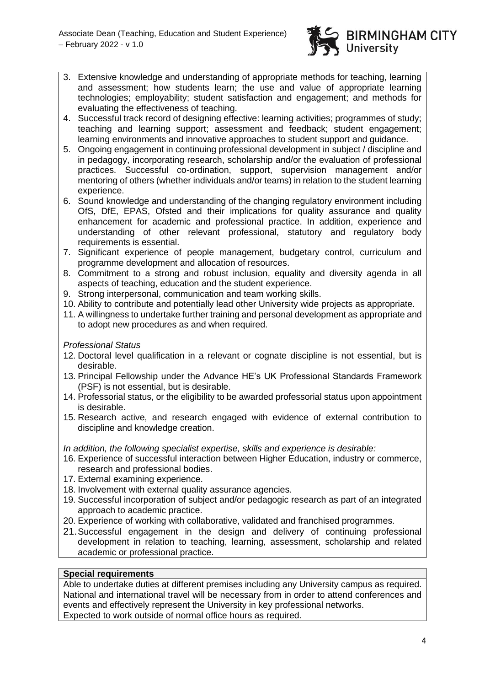

- 3. Extensive knowledge and understanding of appropriate methods for teaching, learning and assessment; how students learn; the use and value of appropriate learning technologies; employability; student satisfaction and engagement; and methods for evaluating the effectiveness of teaching.
- 4. Successful track record of designing effective: learning activities; programmes of study; teaching and learning support; assessment and feedback; student engagement; learning environments and innovative approaches to student support and guidance.
- 5. Ongoing engagement in continuing professional development in subject / discipline and in pedagogy, incorporating research, scholarship and/or the evaluation of professional practices. Successful co-ordination, support, supervision management and/or mentoring of others (whether individuals and/or teams) in relation to the student learning experience.
- 6. Sound knowledge and understanding of the changing regulatory environment including OfS, DfE, EPAS, Ofsted and their implications for quality assurance and quality enhancement for academic and professional practice. In addition, experience and understanding of other relevant professional, statutory and regulatory body requirements is essential.
- 7. Significant experience of people management, budgetary control, curriculum and programme development and allocation of resources.
- 8. Commitment to a strong and robust inclusion, equality and diversity agenda in all aspects of teaching, education and the student experience.
- 9. Strong interpersonal, communication and team working skills.
- 10. Ability to contribute and potentially lead other University wide projects as appropriate.
- 11. A willingness to undertake further training and personal development as appropriate and to adopt new procedures as and when required.

*Professional Status*

- 12. Doctoral level qualification in a relevant or cognate discipline is not essential, but is desirable.
- 13. Principal Fellowship under the Advance HE's UK Professional Standards Framework (PSF) is not essential, but is desirable.
- 14. Professorial status, or the eligibility to be awarded professorial status upon appointment is desirable.
- 15. Research active, and research engaged with evidence of external contribution to discipline and knowledge creation.

*In addition, the following specialist expertise, skills and experience is desirable:*

- 16. Experience of successful interaction between Higher Education, industry or commerce, research and professional bodies.
- 17. External examining experience.
- 18. Involvement with external quality assurance agencies.
- 19. Successful incorporation of subject and/or pedagogic research as part of an integrated approach to academic practice.
- 20. Experience of working with collaborative, validated and franchised programmes.
- 21.Successful engagement in the design and delivery of continuing professional development in relation to teaching, learning, assessment, scholarship and related academic or professional practice.

# **Special requirements**

Able to undertake duties at different premises including any University campus as required. National and international travel will be necessary from in order to attend conferences and events and effectively represent the University in key professional networks. Expected to work outside of normal office hours as required.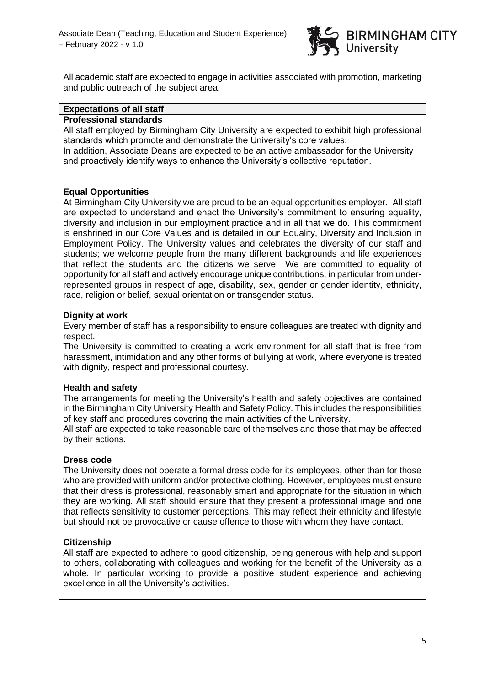

All academic staff are expected to engage in activities associated with promotion, marketing and public outreach of the subject area.

#### **Expectations of all staff**

#### **Professional standards**

All staff employed by Birmingham City University are expected to exhibit high professional standards which promote and demonstrate the University's core values.

In addition, Associate Deans are expected to be an active ambassador for the University and proactively identify ways to enhance the University's collective reputation.

#### **Equal Opportunities**

At Birmingham City University we are proud to be an equal opportunities employer. All staff are expected to understand and enact the University's commitment to ensuring equality, diversity and inclusion in our employment practice and in all that we do. This commitment is enshrined in our Core Values and is detailed in our Equality, Diversity and Inclusion in Employment Policy. The University values and celebrates the diversity of our staff and students; we welcome people from the many different backgrounds and life experiences that reflect the students and the citizens we serve. We are committed to equality of opportunity for all staff and actively encourage unique contributions, in particular from underrepresented groups in respect of age, disability, sex, gender or gender identity, ethnicity, race, religion or belief, sexual orientation or transgender status.

#### **Dignity at work**

Every member of staff has a responsibility to ensure colleagues are treated with dignity and respect.

The University is committed to creating a work environment for all staff that is free from harassment, intimidation and any other forms of bullying at work, where everyone is treated with dignity, respect and professional courtesy.

# **Health and safety**

The arrangements for meeting the University's health and safety objectives are contained in the Birmingham City University Health and Safety Policy. This includes the responsibilities of key staff and procedures covering the main activities of the University.

All staff are expected to take reasonable care of themselves and those that may be affected by their actions.

#### **Dress code**

The University does not operate a formal dress code for its employees, other than for those who are provided with uniform and/or protective clothing. However, employees must ensure that their dress is professional, reasonably smart and appropriate for the situation in which they are working. All staff should ensure that they present a professional image and one that reflects sensitivity to customer perceptions. This may reflect their ethnicity and lifestyle but should not be provocative or cause offence to those with whom they have contact.

# **Citizenship**

All staff are expected to adhere to good citizenship, being generous with help and support to others, collaborating with colleagues and working for the benefit of the University as a whole. In particular working to provide a positive student experience and achieving excellence in all the University's activities.